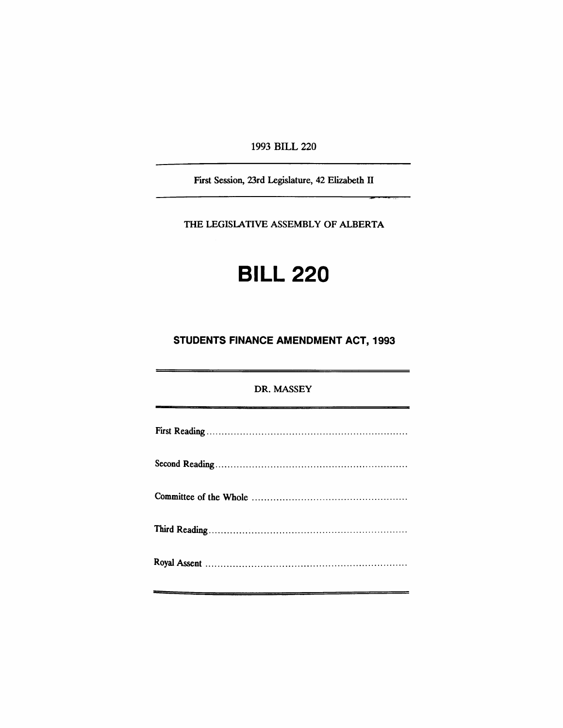1993 BILL 220

First Session, 23rd Legislature, 42 Elizabeth IT

-=

THE LEGISlATIVE ASSEMBLY OF ALBERTA

# **BILL 220**

## **STUDENTS FINANCE AMENDMENT ACT, 1993**

# DR. MASSEY First Reading . Second Reading . Committee of the Whole . Third Reading . Royal Assent .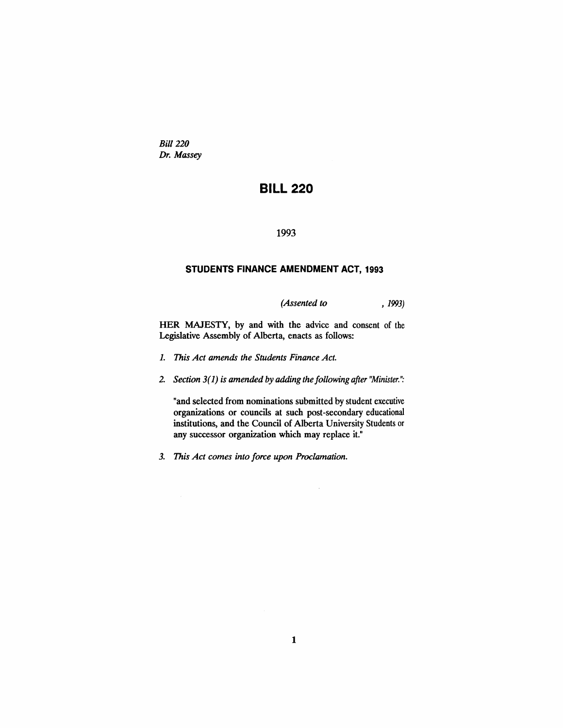*Bill 220 Dr. Massey*

# **BILL 220**

#### 1993

#### **STUDENTS FINANCE AMENDMENT** ACT, 1993

*(Assented to* , 1993)

HER MAJESTY, by and with the advice and consent of the Legislative Assembly of Alberta, enacts as follows:

- 1. *This Act amends the Students Finance Act.*
- *2. Section* 3(1) *is amended* by *adding the following after ''Minister.'':*

"and selected from nominations submitted by student executive organizations or councils at such post-secondary educational institutions, and the Council of Alberta University Students or any successor organization which may replace it."

*3. This Act comes into force upon Proclamation.*